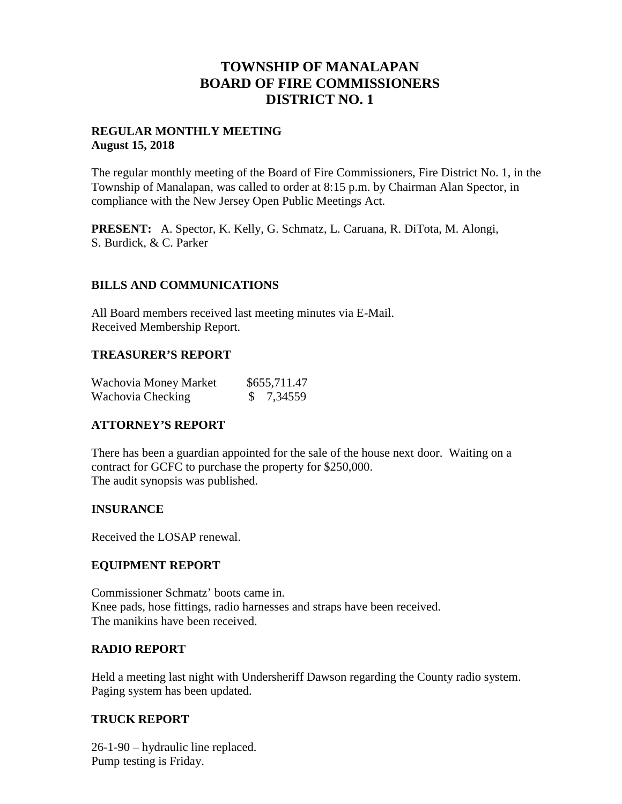## **TOWNSHIP OF MANALAPAN BOARD OF FIRE COMMISSIONERS DISTRICT NO. 1**

#### **REGULAR MONTHLY MEETING August 15, 2018**

The regular monthly meeting of the Board of Fire Commissioners, Fire District No. 1, in the Township of Manalapan, was called to order at 8:15 p.m. by Chairman Alan Spector, in compliance with the New Jersey Open Public Meetings Act.

**PRESENT:** A. Spector, K. Kelly, G. Schmatz, L. Caruana, R. DiTota, M. Alongi, S. Burdick, & C. Parker

### **BILLS AND COMMUNICATIONS**

All Board members received last meeting minutes via E-Mail. Received Membership Report.

#### **TREASURER'S REPORT**

| Wachovia Money Market | \$655,711.47 |
|-----------------------|--------------|
| Wachovia Checking     | \$7,34559    |

## **ATTORNEY'S REPORT**

There has been a guardian appointed for the sale of the house next door. Waiting on a contract for GCFC to purchase the property for \$250,000. The audit synopsis was published.

#### **INSURANCE**

Received the LOSAP renewal.

#### **EQUIPMENT REPORT**

Commissioner Schmatz' boots came in. Knee pads, hose fittings, radio harnesses and straps have been received. The manikins have been received.

#### **RADIO REPORT**

Held a meeting last night with Undersheriff Dawson regarding the County radio system. Paging system has been updated.

#### **TRUCK REPORT**

26-1-90 – hydraulic line replaced. Pump testing is Friday.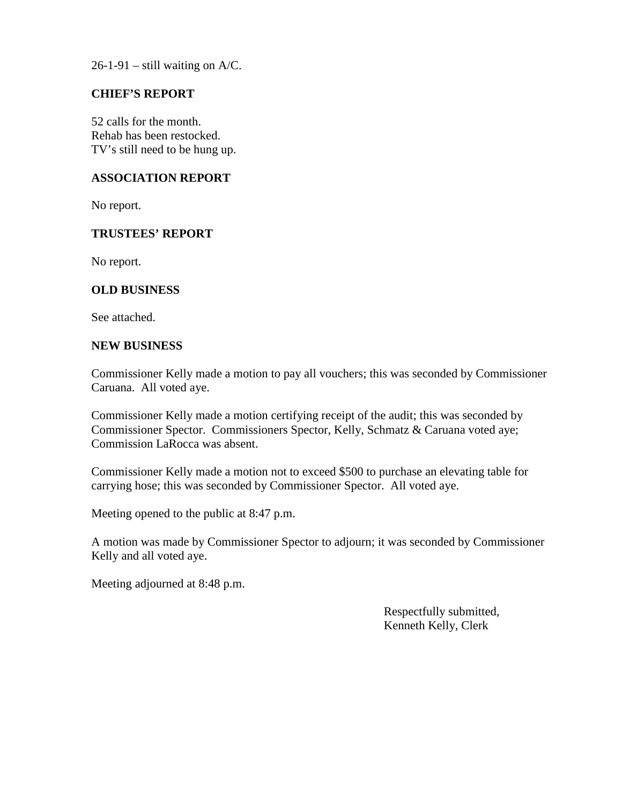$26-1-91$  – still waiting on A/C.

#### **CHIEF'S REPORT**

52 calls for the month. Rehab has been restocked. TV's still need to be hung up.

#### **ASSOCIATION REPORT**

No report.

#### **TRUSTEES' REPORT**

No report.

#### **OLD BUSINESS**

See attached.

#### **NEW BUSINESS**

Commissioner Kelly made a motion to pay all vouchers; this was seconded by Commissioner Caruana. All voted aye.

Commissioner Kelly made a motion certifying receipt of the audit; this was seconded by Commissioner Spector. Commissioners Spector, Kelly, Schmatz & Caruana voted aye; Commission LaRocca was absent.

Commissioner Kelly made a motion not to exceed \$500 to purchase an elevating table for carrying hose; this was seconded by Commissioner Spector. All voted aye.

Meeting opened to the public at 8:47 p.m.

A motion was made by Commissioner Spector to adjourn; it was seconded by Commissioner Kelly and all voted aye.

Meeting adjourned at 8:48 p.m.

Respectfully submitted, Kenneth Kelly, Clerk